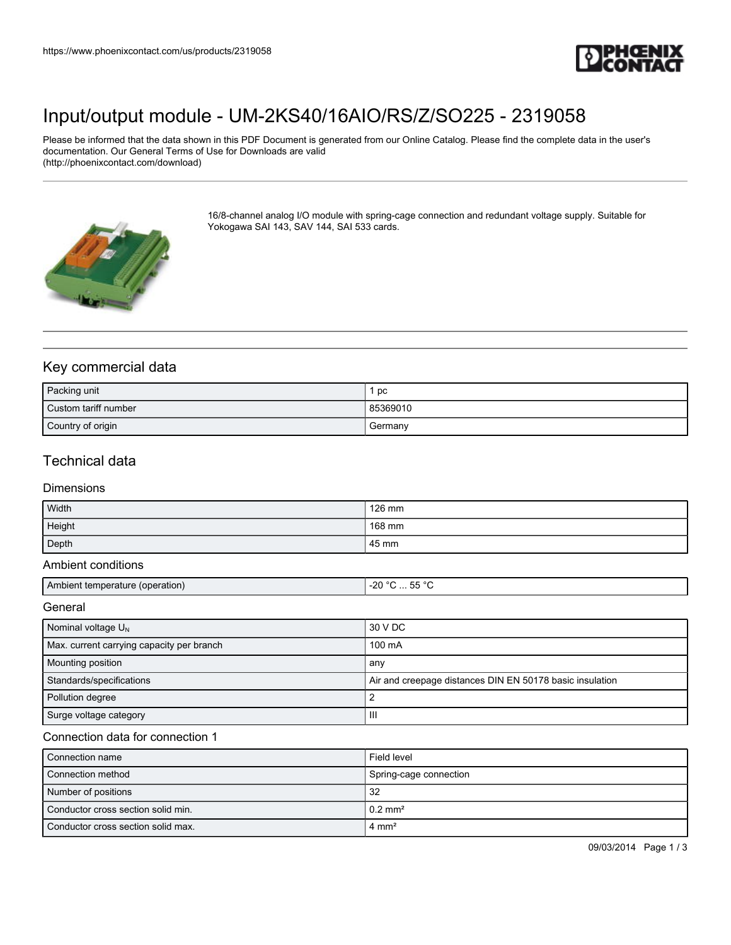

## [Input/output module - UM-2KS40/16AIO/RS/Z/SO225 - 2319058](https://www.phoenixcontact.com/us/products/2319058)

Please be informed that the data shown in this PDF Document is generated from our Online Catalog. Please find the complete data in the user's documentation. Our General Terms of Use for Downloads are valid (http://phoenixcontact.com/download)



16/8-channel analog I/O module with spring-cage connection and redundant voltage supply. Suitable for Yokogawa SAI 143, SAV 144, SAI 533 cards.

### Key commercial data

| Packing unit           | pc       |
|------------------------|----------|
| l Custom tariff number | 85369010 |
| Country of origin      | Germany  |

## Technical data

#### Dimensions

| Width  | 126 mm |
|--------|--------|
| Height | 168 mm |
| Depth  | 45 mm  |

#### Ambient conditions

| ' Ambient temperature ∖<br>(operation) | $- - 0$<br>$-20$<br>- -<br>ື<br>$\sim$ $\sim$ |
|----------------------------------------|-----------------------------------------------|
|                                        |                                               |

General

| Nominal voltage $U_N$                     | 30 V DC                                                  |
|-------------------------------------------|----------------------------------------------------------|
| Max. current carrying capacity per branch | 100 mA                                                   |
| <b>Mounting position</b>                  | any                                                      |
| Standards/specifications                  | Air and creepage distances DIN EN 50178 basic insulation |
| Pollution degree                          |                                                          |
| Surge voltage category                    | Ш                                                        |

#### Connection data for connection 1

| Connection name                    | Field level            |
|------------------------------------|------------------------|
| Connection method                  | Spring-cage connection |
| Number of positions                | 32                     |
| Conductor cross section solid min. | $0.2$ mm <sup>2</sup>  |
| Conductor cross section solid max. | $4 \text{ mm}^2$       |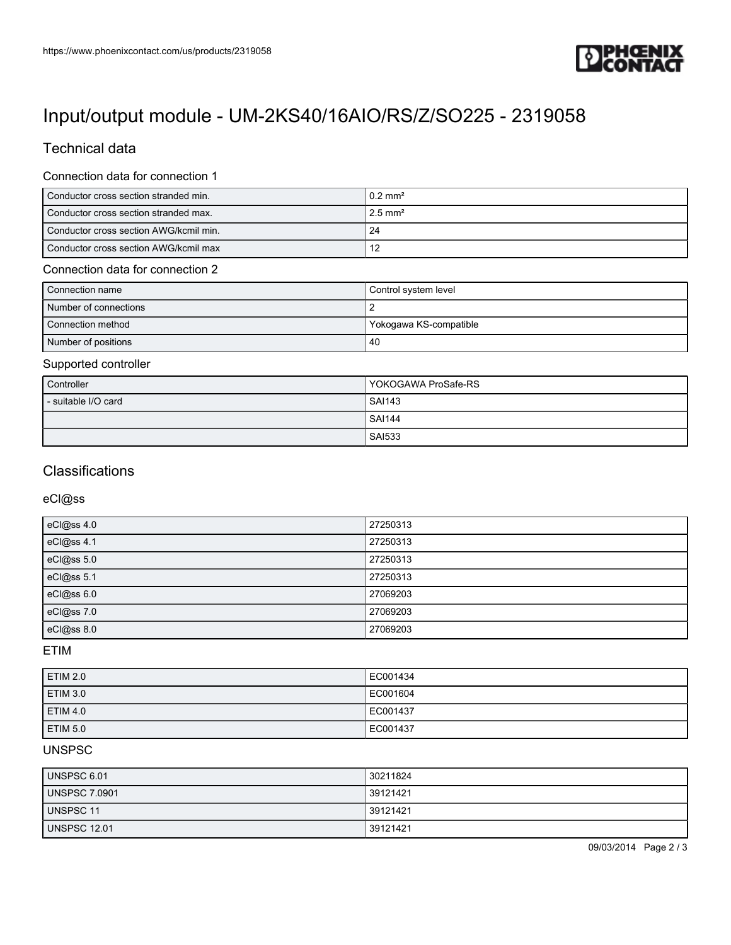

# [Input/output module - UM-2KS40/16AIO/RS/Z/SO225 - 2319058](https://www.phoenixcontact.com/us/products/2319058)

## Technical data

#### Connection data for connection 1

| Conductor cross section stranded min.  | $10.2 \text{ mm}^2$    |
|----------------------------------------|------------------------|
| Conductor cross section stranded max.  | $12.5$ mm <sup>2</sup> |
| Conductor cross section AWG/kcmil min. | -24                    |
| Conductor cross section AWG/kcmil max  |                        |

#### Connection data for connection 2

| Connection name       | Control system level   |
|-----------------------|------------------------|
| Number of connections |                        |
| Connection method     | Yokogawa KS-compatible |
| Number of positions   | -40                    |

#### Supported controller

| Controller          | YOKOGAWA ProSafe-RS |
|---------------------|---------------------|
| - suitable I/O card | <b>SAI143</b>       |
|                     | <b>SAI144</b>       |
|                     | <b>SAI533</b>       |

## **Classifications**

eCl@ss

| eCl@ss 4.0 | 27250313 |
|------------|----------|
| eCl@ss 4.1 | 27250313 |
| eCl@ss 5.0 | 27250313 |
| eCl@ss 5.1 | 27250313 |
| eCl@ss 6.0 | 27069203 |
| eCl@ss 7.0 | 27069203 |
| eCl@ss 8.0 | 27069203 |

ETIM

| <b>ETIM 2.0</b> | EC001434 |
|-----------------|----------|
| ETIM 3.0        | EC001604 |
| <b>ETIM 4.0</b> | EC001437 |
| <b>ETIM 5.0</b> | EC001437 |

### UNSPSC

| UNSPSC 6.01          | 30211824 |
|----------------------|----------|
| <b>UNSPSC 7.0901</b> | 39121421 |
| UNSPSC 11            | 39121421 |
| <b>UNSPSC 12.01</b>  | 39121421 |